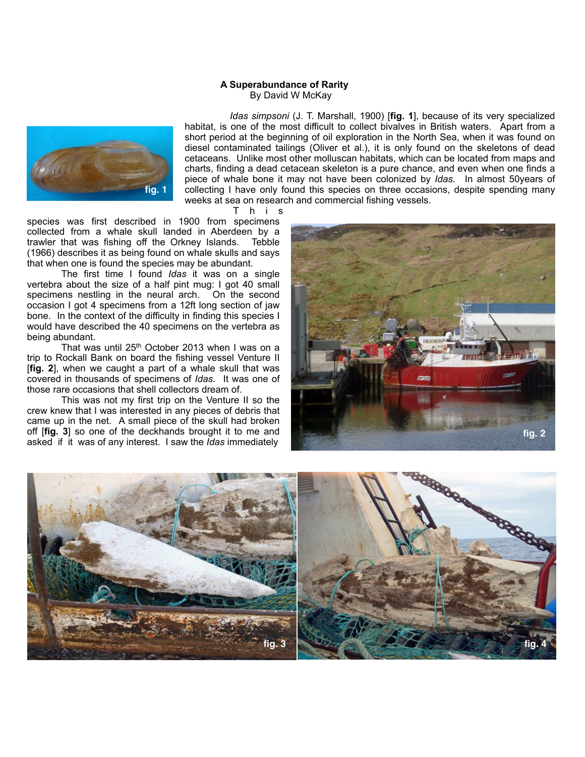## **A Superabundance of Rarity** By David W McKay



 *Idas simpsoni* (J. T. Marshall, 1900) [**fig. 1**], because of its very specialized habitat, is one of the most difficult to collect bivalves in British waters. Apart from a short period at the beginning of oil exploration in the North Sea, when it was found on diesel contaminated tailings (Oliver et al.), it is only found on the skeletons of dead cetaceans. Unlike most other molluscan habitats, which can be located from maps and charts, finding a dead cetacean skeleton is a pure chance, and even when one finds a piece of whale bone it may not have been colonized by *Idas.* In almost 50years of collecting I have only found this species on three occasions, despite spending many weeks at sea on research and commercial fishing vessels.

T h i s

species was first described in 1900 from specimens collected from a whale skull landed in Aberdeen by a trawler that was fishing off the Orkney Islands. Tebble (1966) describes it as being found on whale skulls and says that when one is found the species may be abundant.

 The first time I found *Idas* it was on a single vertebra about the size of a half pint mug: I got 40 small specimens nestling in the neural arch. On the second occasion I got 4 specimens from a 12ft long section of jaw bone. In the context of the difficulty in finding this species I would have described the 40 specimens on the vertebra as being abundant.

That was until 25<sup>th</sup> October 2013 when I was on a trip to Rockall Bank on board the fishing vessel Venture II [**fig. 2**], when we caught a part of a whale skull that was covered in thousands of specimens of *Idas.* It was one of those rare occasions that shell collectors dream of.

 This was not my first trip on the Venture II so the crew knew that I was interested in any pieces of debris that came up in the net. A small piece of the skull had broken off [**fig. 3**] so one of the deckhands brought it to me and asked if it was of any interest. I saw the *Idas* immediately